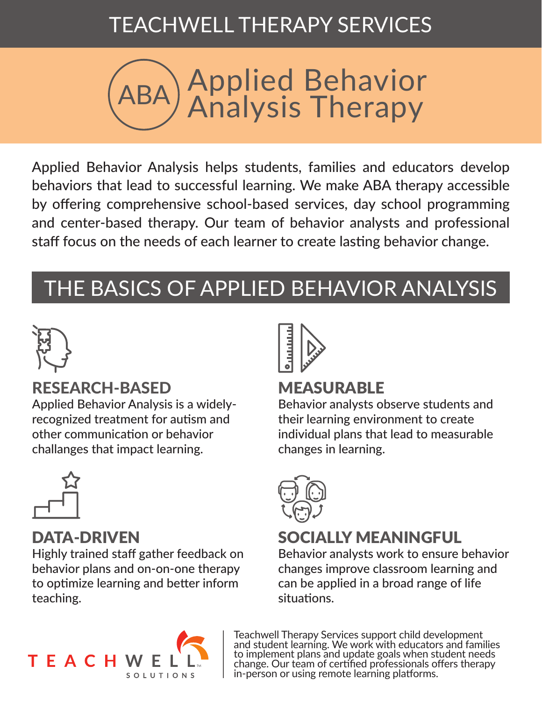## TEACHWELL THERAPY SERVICES



Applied Behavior Analysis helps students, families and educators develop behaviors that lead to successful learning. We make ABA therapy accessible by offering comprehensive school-based services, day school programming and center-based therapy. Our team of behavior analysts and professional staff focus on the needs of each learner to create lasting behavior change.

# THE BASICS OF APPLIED BEHAVIOR ANALYSIS



### RESEARCH-BASED

Applied Behavior Analysis is a widelyrecognized treatment for autism and other communication or behavior challanges that impact learning.



### DATA-DRIVEN

Highly trained staff gather feedback on behavior plans and on-on-one therapy to optimize learning and better inform teaching.



### MEASURABLE

Behavior analysts observe students and their learning environment to create individual plans that lead to measurable changes in learning.



### SOCIALLY MEANINGFUL

Behavior analysts work to ensure behavior changes improve classroom learning and can be applied in a broad range of life situations.



Teachwell Therapy Services support child development and student learning. We work with educators and families to implement plans and update goals when student needs change. Our team of certified professionals offers therapy in-person or using remote learning platforms.